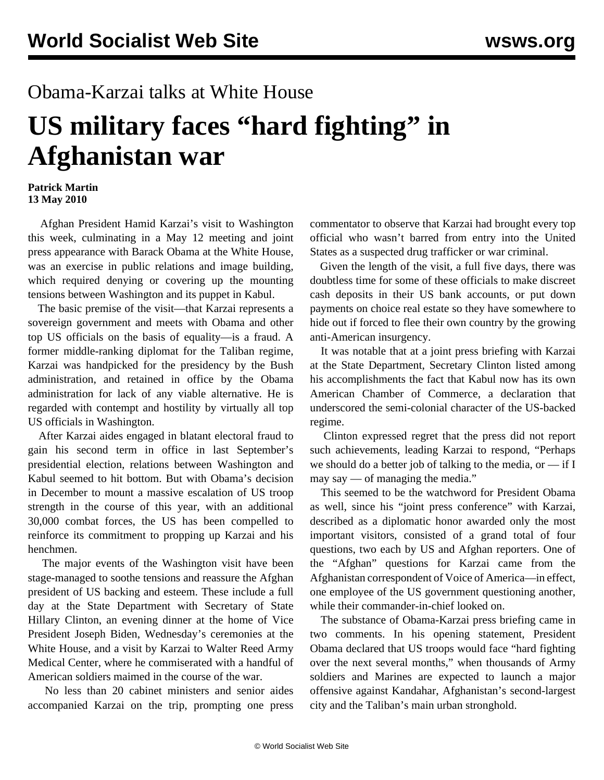## Obama-Karzai talks at White House

## **US military faces "hard fighting" in Afghanistan war**

## **Patrick Martin 13 May 2010**

 Afghan President Hamid Karzai's visit to Washington this week, culminating in a May 12 meeting and joint press appearance with Barack Obama at the White House, was an exercise in public relations and image building, which required denying or covering up the mounting tensions between Washington and its puppet in Kabul.

 The basic premise of the visit—that Karzai represents a sovereign government and meets with Obama and other top US officials on the basis of equality—is a fraud. A former middle-ranking diplomat for the Taliban regime, Karzai was handpicked for the presidency by the Bush administration, and retained in office by the Obama administration for lack of any viable alternative. He is regarded with contempt and hostility by virtually all top US officials in Washington.

 After Karzai aides engaged in blatant electoral fraud to gain his second term in office in last September's presidential election, relations between Washington and Kabul seemed to hit bottom. But with Obama's decision in December to mount a massive escalation of US troop strength in the course of this year, with an additional 30,000 combat forces, the US has been compelled to reinforce its commitment to propping up Karzai and his henchmen.

 The major events of the Washington visit have been stage-managed to soothe tensions and reassure the Afghan president of US backing and esteem. These include a full day at the State Department with Secretary of State Hillary Clinton, an evening dinner at the home of Vice President Joseph Biden, Wednesday's ceremonies at the White House, and a visit by Karzai to Walter Reed Army Medical Center, where he commiserated with a handful of American soldiers maimed in the course of the war.

 No less than 20 cabinet ministers and senior aides accompanied Karzai on the trip, prompting one press commentator to observe that Karzai had brought every top official who wasn't barred from entry into the United States as a suspected drug trafficker or war criminal.

 Given the length of the visit, a full five days, there was doubtless time for some of these officials to make discreet cash deposits in their US bank accounts, or put down payments on choice real estate so they have somewhere to hide out if forced to flee their own country by the growing anti-American insurgency.

 It was notable that at a joint press briefing with Karzai at the State Department, Secretary Clinton listed among his accomplishments the fact that Kabul now has its own American Chamber of Commerce, a declaration that underscored the semi-colonial character of the US-backed regime.

 Clinton expressed regret that the press did not report such achievements, leading Karzai to respond, "Perhaps we should do a better job of talking to the media, or  $-$  if I may say — of managing the media."

 This seemed to be the watchword for President Obama as well, since his "joint press conference" with Karzai, described as a diplomatic honor awarded only the most important visitors, consisted of a grand total of four questions, two each by US and Afghan reporters. One of the "Afghan" questions for Karzai came from the Afghanistan correspondent of Voice of America—in effect, one employee of the US government questioning another, while their commander-in-chief looked on.

 The substance of Obama-Karzai press briefing came in two comments. In his opening statement, President Obama declared that US troops would face "hard fighting over the next several months," when thousands of Army soldiers and Marines are expected to launch a major offensive against Kandahar, Afghanistan's second-largest city and the Taliban's main urban stronghold.